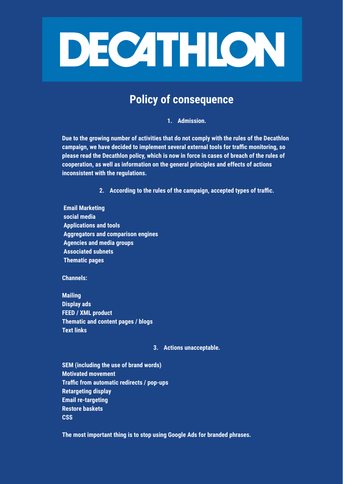

## **Policy of consequence**

**1. Admission.**

**Due to the growing number of activities that do not comply with the rules of the Decathlon campaign, we have decided to implement several external tools for traffic monitoring, so please read the Decathlon policy, which is now in force in cases of breach of the rules of cooperation, as well as information on the general principles and effects of actions inconsistent with the regulations.**

**2. According to the rules of the campaign, accepted types of traffic.**

**Email Marketing social media Applications and tools Aggregators and comparison engines Agencies and media groups Associated subnets Thematic pages**

**Channels:**

**Mailing Display ads FEED / XML product Thematic and content pages / blogs Text links**

**3. Actions unacceptable.**

**SEM (including the use of brand words) Motivated movement Traffic from automatic redirects / pop-ups Retargeting display Email re-targeting Restore baskets CSS**

**The most important thing is to stop using Google Ads for branded phrases.**